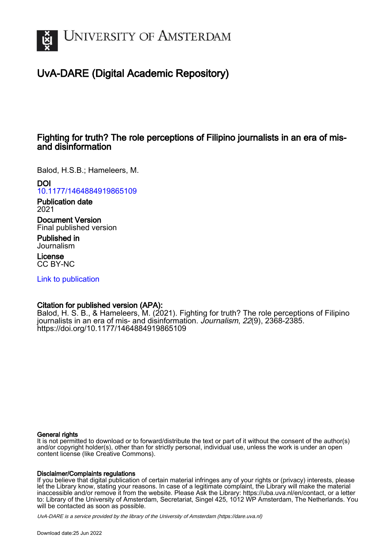

# UvA-DARE (Digital Academic Repository)

## Fighting for truth? The role perceptions of Filipino journalists in an era of misand disinformation

Balod, H.S.B.; Hameleers, M.

DOI

[10.1177/1464884919865109](https://doi.org/10.1177/1464884919865109)

Publication date 2021

Document Version Final published version

Published in Journalism

License CC BY-NC

[Link to publication](https://dare.uva.nl/personal/pure/en/publications/fighting-for-truth-the-role-perceptions-of-filipino-journalists-in-an-era-of-mis-and-disinformation(b90603e6-da54-4f83-a1df-e7365bc29aff).html)

## Citation for published version (APA):

Balod, H. S. B., & Hameleers, M. (2021). Fighting for truth? The role perceptions of Filipino journalists in an era of mis- and disinformation. Journalism, 22(9), 2368-2385. <https://doi.org/10.1177/1464884919865109>

#### General rights

It is not permitted to download or to forward/distribute the text or part of it without the consent of the author(s) and/or copyright holder(s), other than for strictly personal, individual use, unless the work is under an open content license (like Creative Commons).

### Disclaimer/Complaints regulations

If you believe that digital publication of certain material infringes any of your rights or (privacy) interests, please let the Library know, stating your reasons. In case of a legitimate complaint, the Library will make the material inaccessible and/or remove it from the website. Please Ask the Library: https://uba.uva.nl/en/contact, or a letter to: Library of the University of Amsterdam, Secretariat, Singel 425, 1012 WP Amsterdam, The Netherlands. You will be contacted as soon as possible.

UvA-DARE is a service provided by the library of the University of Amsterdam (http*s*://dare.uva.nl)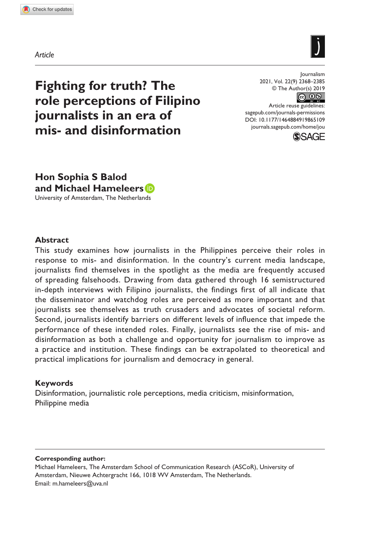**8651[09](http://crossmark.crossref.org/dialog/?doi=10.1177%2F1464884919865109&domain=pdf&date_stamp=2019-07-24)**JOU0010.1177/1464884919865109Journalism**Balod and Hameleers**

*Article*



**Fighting for truth? The role perceptions of Filipino journalists in an era of mis- and disinformation**

Journalism 2021, Vol. 22(9) 2368–2385 © The Author(s) 2019

@ 0⊛ Article reuse guidelines: [sagepub.com/journals-permissions](https://uk.sagepub.com/en-gb/journals-permissions) DOI: 10.1177/1464884919865109 [journals.sagepub.com/home/jou](https://journals.sagepub.com/home/jou) **SSAGE** 



University of Amsterdam, The Netherlands

#### **Abstract**

This study examines how journalists in the Philippines perceive their roles in response to mis- and disinformation. In the country's current media landscape, journalists find themselves in the spotlight as the media are frequently accused of spreading falsehoods. Drawing from data gathered through 16 semistructured in-depth interviews with Filipino journalists, the findings first of all indicate that the disseminator and watchdog roles are perceived as more important and that journalists see themselves as truth crusaders and advocates of societal reform. Second, journalists identify barriers on different levels of influence that impede the performance of these intended roles. Finally, journalists see the rise of mis- and disinformation as both a challenge and opportunity for journalism to improve as a practice and institution. These findings can be extrapolated to theoretical and practical implications for journalism and democracy in general.

#### **Keywords**

Disinformation, journalistic role perceptions, media criticism, misinformation, Philippine media

**Corresponding author:**

Michael Hameleers, The Amsterdam School of Communication Research (ASCoR), University of Amsterdam, Nieuwe Achtergracht 166, 1018 WV Amsterdam, The Netherlands. Email: [m.hameleers@uva.nl](mailto:m.hameleers@uva.nl)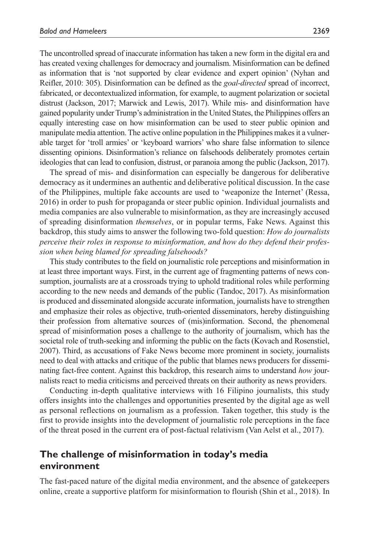The uncontrolled spread of inaccurate information has taken a new form in the digital era and has created vexing challenges for democracy and journalism. Misinformation can be defined as information that is 'not supported by clear evidence and expert opinion' (Nyhan and Reifler, 2010: 305). Disinformation can be defined as the *goal-directed* spread of incorrect, fabricated, or decontextualized information, for example, to augment polarization or societal distrust (Jackson, 2017; Marwick and Lewis, 2017). While mis- and disinformation have gained popularity under Trump's administration in the United States, the Philippines offers an equally interesting case on how misinformation can be used to steer public opinion and manipulate media attention. The active online population in the Philippines makes it a vulnerable target for 'troll armies' or 'keyboard warriors' who share false information to silence dissenting opinions. Disinformation's reliance on falsehoods deliberately promotes certain ideologies that can lead to confusion, distrust, or paranoia among the public (Jackson, 2017).

The spread of mis- and disinformation can especially be dangerous for deliberative democracy as it undermines an authentic and deliberative political discussion. In the case of the Philippines, multiple fake accounts are used to 'weaponize the Internet' (Ressa, 2016) in order to push for propaganda or steer public opinion. Individual journalists and media companies are also vulnerable to misinformation, as they are increasingly accused of spreading disinformation *themselves*, or in popular terms, Fake News. Against this backdrop, this study aims to answer the following two-fold question: *How do journalists perceive their roles in response to misinformation, and how do they defend their profession when being blamed for spreading falsehoods?*

This study contributes to the field on journalistic role perceptions and misinformation in at least three important ways. First, in the current age of fragmenting patterns of news consumption, journalists are at a crossroads trying to uphold traditional roles while performing according to the new needs and demands of the public (Tandoc, 2017). As misinformation is produced and disseminated alongside accurate information, journalists have to strengthen and emphasize their roles as objective, truth-oriented disseminators, hereby distinguishing their profession from alternative sources of (mis)information. Second, the phenomenal spread of misinformation poses a challenge to the authority of journalism, which has the societal role of truth-seeking and informing the public on the facts (Kovach and Rosenstiel, 2007). Third, as accusations of Fake News become more prominent in society, journalists need to deal with attacks and critique of the public that blames news producers for disseminating fact-free content. Against this backdrop, this research aims to understand *how* journalists react to media criticisms and perceived threats on their authority as news providers.

Conducting in-depth qualitative interviews with 16 Filipino journalists, this study offers insights into the challenges and opportunities presented by the digital age as well as personal reflections on journalism as a profession. Taken together, this study is the first to provide insights into the development of journalistic role perceptions in the face of the threat posed in the current era of post-factual relativism (Van Aelst et al., 2017).

## **The challenge of misinformation in today's media environment**

The fast-paced nature of the digital media environment, and the absence of gatekeepers online, create a supportive platform for misinformation to flourish (Shin et al., 2018). In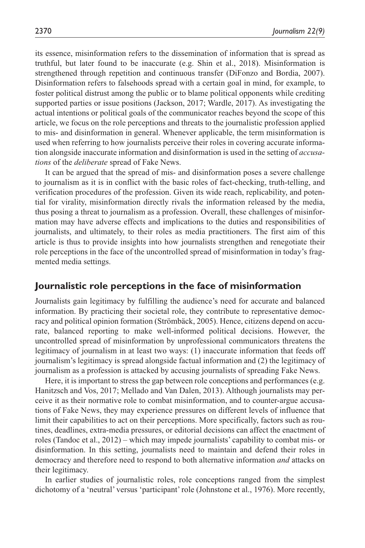its essence, misinformation refers to the dissemination of information that is spread as truthful, but later found to be inaccurate (e.g. Shin et al., 2018). Misinformation is strengthened through repetition and continuous transfer (DiFonzo and Bordia, 2007). Disinformation refers to falsehoods spread with a certain goal in mind, for example, to foster political distrust among the public or to blame political opponents while crediting supported parties or issue positions (Jackson, 2017; Wardle, 2017). As investigating the actual intentions or political goals of the communicator reaches beyond the scope of this article, we focus on the role perceptions and threats to the journalistic profession applied to mis- and disinformation in general. Whenever applicable, the term misinformation is used when referring to how journalists perceive their roles in covering accurate information alongside inaccurate information and disinformation is used in the setting of *accusations* of the *deliberate* spread of Fake News.

It can be argued that the spread of mis- and disinformation poses a severe challenge to journalism as it is in conflict with the basic roles of fact-checking, truth-telling, and verification procedures of the profession. Given its wide reach, replicability, and potential for virality, misinformation directly rivals the information released by the media, thus posing a threat to journalism as a profession. Overall, these challenges of misinformation may have adverse effects and implications to the duties and responsibilities of journalists, and ultimately, to their roles as media practitioners. The first aim of this article is thus to provide insights into how journalists strengthen and renegotiate their role perceptions in the face of the uncontrolled spread of misinformation in today's fragmented media settings.

#### **Journalistic role perceptions in the face of misinformation**

Journalists gain legitimacy by fulfilling the audience's need for accurate and balanced information. By practicing their societal role, they contribute to representative democracy and political opinion formation (Strömbäck, 2005). Hence, citizens depend on accurate, balanced reporting to make well-informed political decisions. However, the uncontrolled spread of misinformation by unprofessional communicators threatens the legitimacy of journalism in at least two ways: (1) inaccurate information that feeds off journalism's legitimacy is spread alongside factual information and (2) the legitimacy of journalism as a profession is attacked by accusing journalists of spreading Fake News.

Here, it is important to stress the gap between role conceptions and performances (e.g. Hanitzsch and Vos, 2017; Mellado and Van Dalen, 2013). Although journalists may perceive it as their normative role to combat misinformation, and to counter-argue accusations of Fake News, they may experience pressures on different levels of influence that limit their capabilities to act on their perceptions. More specifically, factors such as routines, deadlines, extra-media pressures, or editorial decisions can affect the enactment of roles (Tandoc et al., 2012) – which may impede journalists' capability to combat mis- or disinformation. In this setting, journalists need to maintain and defend their roles in democracy and therefore need to respond to both alternative information *and* attacks on their legitimacy.

In earlier studies of journalistic roles, role conceptions ranged from the simplest dichotomy of a 'neutral' versus 'participant' role (Johnstone et al., 1976). More recently,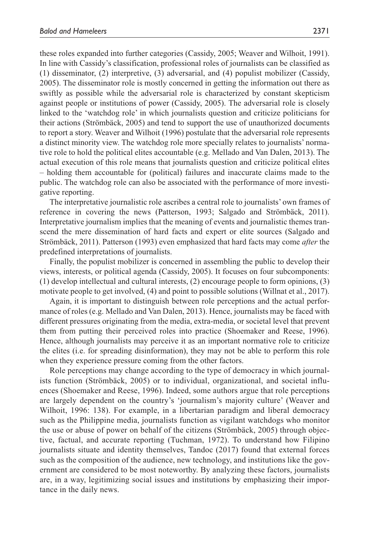these roles expanded into further categories (Cassidy, 2005; Weaver and Wilhoit, 1991). In line with Cassidy's classification, professional roles of journalists can be classified as (1) disseminator, (2) interpretive, (3) adversarial, and (4) populist mobilizer (Cassidy, 2005). The disseminator role is mostly concerned in getting the information out there as swiftly as possible while the adversarial role is characterized by constant skepticism against people or institutions of power (Cassidy, 2005). The adversarial role is closely linked to the 'watchdog role' in which journalists question and criticize politicians for their actions (Strömbäck, 2005) and tend to support the use of unauthorized documents to report a story. Weaver and Wilhoit (1996) postulate that the adversarial role represents a distinct minority view. The watchdog role more specially relates to journalists' normative role to hold the political elites accountable (e.g. Mellado and Van Dalen, 2013). The actual execution of this role means that journalists question and criticize political elites – holding them accountable for (political) failures and inaccurate claims made to the public. The watchdog role can also be associated with the performance of more investigative reporting.

The interpretative journalistic role ascribes a central role to journalists' own frames of reference in covering the news (Patterson, 1993; Salgado and Strömbäck, 2011). Interpretative journalism implies that the meaning of events and journalistic themes transcend the mere dissemination of hard facts and expert or elite sources (Salgado and Strömbäck, 2011). Patterson (1993) even emphasized that hard facts may come *after* the predefined interpretations of journalists.

Finally, the populist mobilizer is concerned in assembling the public to develop their views, interests, or political agenda (Cassidy, 2005). It focuses on four subcomponents: (1) develop intellectual and cultural interests, (2) encourage people to form opinions, (3) motivate people to get involved, (4) and point to possible solutions (Willnat et al., 2017).

Again, it is important to distinguish between role perceptions and the actual performance of roles (e.g. Mellado and Van Dalen, 2013). Hence, journalists may be faced with different pressures originating from the media, extra-media, or societal level that prevent them from putting their perceived roles into practice (Shoemaker and Reese, 1996). Hence, although journalists may perceive it as an important normative role to criticize the elites (i.e. for spreading disinformation), they may not be able to perform this role when they experience pressure coming from the other factors.

Role perceptions may change according to the type of democracy in which journalists function (Strömbäck, 2005) or to individual, organizational, and societal influences (Shoemaker and Reese, 1996). Indeed, some authors argue that role perceptions are largely dependent on the country's 'journalism's majority culture' (Weaver and Wilhoit, 1996: 138). For example, in a libertarian paradigm and liberal democracy such as the Philippine media, journalists function as vigilant watchdogs who monitor the use or abuse of power on behalf of the citizens (Strömbäck, 2005) through objective, factual, and accurate reporting (Tuchman, 1972). To understand how Filipino journalists situate and identity themselves, Tandoc (2017) found that external forces such as the composition of the audience, new technology, and institutions like the government are considered to be most noteworthy. By analyzing these factors, journalists are, in a way, legitimizing social issues and institutions by emphasizing their importance in the daily news.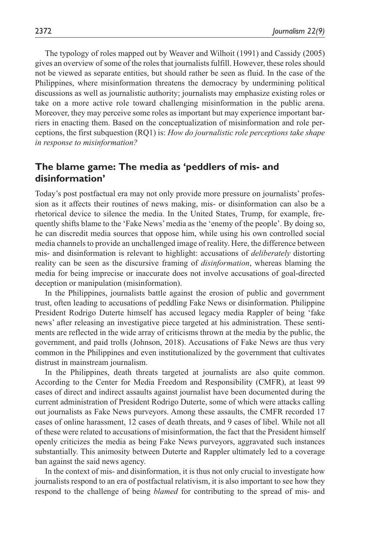The typology of roles mapped out by Weaver and Wilhoit (1991) and Cassidy (2005) gives an overview of some of the roles that journalists fulfill. However, these roles should not be viewed as separate entities, but should rather be seen as fluid. In the case of the Philippines, where misinformation threatens the democracy by undermining political discussions as well as journalistic authority; journalists may emphasize existing roles or take on a more active role toward challenging misinformation in the public arena. Moreover, they may perceive some roles as important but may experience important barriers in enacting them. Based on the conceptualization of misinformation and role perceptions, the first subquestion (RQ1) is: *How do journalistic role perceptions take shape in response to misinformation?*

### **The blame game: The media as 'peddlers of mis- and disinformation'**

Today's post postfactual era may not only provide more pressure on journalists' profession as it affects their routines of news making, mis- or disinformation can also be a rhetorical device to silence the media. In the United States, Trump, for example, frequently shifts blame to the 'Fake News' media as the 'enemy of the people'. By doing so, he can discredit media sources that oppose him, while using his own controlled social media channels to provide an unchallenged image of reality. Here, the difference between mis- and disinformation is relevant to highlight: accusations of *deliberately* distorting reality can be seen as the discursive framing of *disinformation*, whereas blaming the media for being imprecise or inaccurate does not involve accusations of goal-directed deception or manipulation (misinformation).

In the Philippines, journalists battle against the erosion of public and government trust, often leading to accusations of peddling Fake News or disinformation. Philippine President Rodrigo Duterte himself has accused legacy media Rappler of being 'fake news' after releasing an investigative piece targeted at his administration. These sentiments are reflected in the wide array of criticisms thrown at the media by the public, the government, and paid trolls (Johnson, 2018). Accusations of Fake News are thus very common in the Philippines and even institutionalized by the government that cultivates distrust in mainstream journalism.

In the Philippines, death threats targeted at journalists are also quite common. According to the Center for Media Freedom and Responsibility (CMFR), at least 99 cases of direct and indirect assaults against journalist have been documented during the current administration of President Rodrigo Duterte, some of which were attacks calling out journalists as Fake News purveyors. Among these assaults, the CMFR recorded 17 cases of online harassment, 12 cases of death threats, and 9 cases of libel. While not all of these were related to accusations of misinformation, the fact that the President himself openly criticizes the media as being Fake News purveyors, aggravated such instances substantially. This animosity between Duterte and Rappler ultimately led to a coverage ban against the said news agency.

In the context of mis- and disinformation, it is thus not only crucial to investigate how journalists respond to an era of postfactual relativism, it is also important to see how they respond to the challenge of being *blamed* for contributing to the spread of mis- and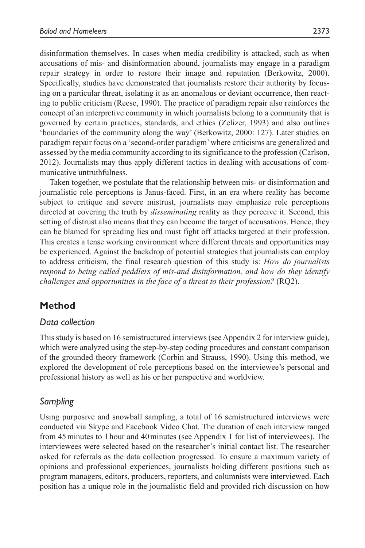disinformation themselves. In cases when media credibility is attacked, such as when accusations of mis- and disinformation abound, journalists may engage in a paradigm repair strategy in order to restore their image and reputation (Berkowitz, 2000). Specifically, studies have demonstrated that journalists restore their authority by focusing on a particular threat, isolating it as an anomalous or deviant occurrence, then reacting to public criticism (Reese, 1990). The practice of paradigm repair also reinforces the concept of an interpretive community in which journalists belong to a community that is governed by certain practices, standards, and ethics (Zelizer, 1993) and also outlines 'boundaries of the community along the way' (Berkowitz, 2000: 127). Later studies on paradigm repair focus on a 'second-order paradigm' where criticisms are generalized and assessed by the media community according to its significance to the profession (Carlson, 2012). Journalists may thus apply different tactics in dealing with accusations of communicative untruthfulness.

Taken together, we postulate that the relationship between mis- or disinformation and journalistic role perceptions is Janus-faced. First, in an era where reality has become subject to critique and severe mistrust, journalists may emphasize role perceptions directed at covering the truth by *disseminating* reality as they perceive it. Second, this setting of distrust also means that they can become the target of accusations. Hence, they can be blamed for spreading lies and must fight off attacks targeted at their profession. This creates a tense working environment where different threats and opportunities may be experienced. Against the backdrop of potential strategies that journalists can employ to address criticism, the final research question of this study is: *How do journalists respond to being called peddlers of mis-and disinformation, and how do they identify challenges and opportunities in the face of a threat to their profession?* (RQ2).

## **Method**

#### *Data collection*

This study is based on 16 semistructured interviews (see Appendix 2 for interview guide), which were analyzed using the step-by-step coding procedures and constant comparison of the grounded theory framework (Corbin and Strauss, 1990). Using this method, we explored the development of role perceptions based on the interviewee's personal and professional history as well as his or her perspective and worldview.

## *Sampling*

Using purposive and snowball sampling, a total of 16 semistructured interviews were conducted via Skype and Facebook Video Chat. The duration of each interview ranged from 45minutes to 1 hour and 40minutes (see Appendix 1 for list of interviewees). The interviewees were selected based on the researcher's initial contact list. The researcher asked for referrals as the data collection progressed. To ensure a maximum variety of opinions and professional experiences, journalists holding different positions such as program managers, editors, producers, reporters, and columnists were interviewed. Each position has a unique role in the journalistic field and provided rich discussion on how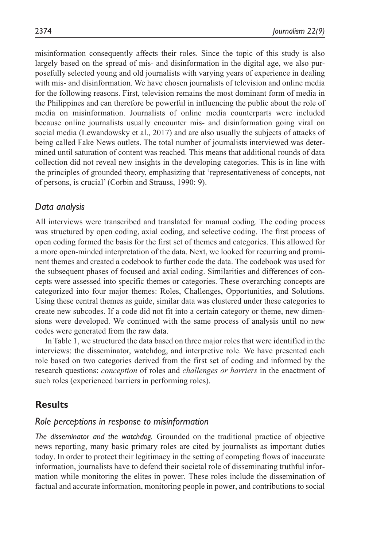misinformation consequently affects their roles. Since the topic of this study is also largely based on the spread of mis- and disinformation in the digital age, we also purposefully selected young and old journalists with varying years of experience in dealing with mis- and disinformation. We have chosen journalists of television and online media for the following reasons. First, television remains the most dominant form of media in the Philippines and can therefore be powerful in influencing the public about the role of media on misinformation. Journalists of online media counterparts were included because online journalists usually encounter mis- and disinformation going viral on social media (Lewandowsky et al., 2017) and are also usually the subjects of attacks of being called Fake News outlets. The total number of journalists interviewed was determined until saturation of content was reached. This means that additional rounds of data collection did not reveal new insights in the developing categories. This is in line with the principles of grounded theory, emphasizing that 'representativeness of concepts, not of persons, is crucial' (Corbin and Strauss, 1990: 9).

#### *Data analysis*

All interviews were transcribed and translated for manual coding. The coding process was structured by open coding, axial coding, and selective coding. The first process of open coding formed the basis for the first set of themes and categories. This allowed for a more open-minded interpretation of the data. Next, we looked for recurring and prominent themes and created a codebook to further code the data. The codebook was used for the subsequent phases of focused and axial coding. Similarities and differences of concepts were assessed into specific themes or categories. These overarching concepts are categorized into four major themes: Roles, Challenges, Opportunities, and Solutions. Using these central themes as guide, similar data was clustered under these categories to create new subcodes. If a code did not fit into a certain category or theme, new dimensions were developed. We continued with the same process of analysis until no new codes were generated from the raw data.

In Table 1, we structured the data based on three major roles that were identified in the interviews: the disseminator, watchdog, and interpretive role. We have presented each role based on two categories derived from the first set of coding and informed by the research questions: *conception* of roles and *challenges or barriers* in the enactment of such roles (experienced barriers in performing roles).

#### **Results**

#### *Role perceptions in response to misinformation*

*The disseminator and the watchdog.* Grounded on the traditional practice of objective news reporting, many basic primary roles are cited by journalists as important duties today. In order to protect their legitimacy in the setting of competing flows of inaccurate information, journalists have to defend their societal role of disseminating truthful information while monitoring the elites in power. These roles include the dissemination of factual and accurate information, monitoring people in power, and contributions to social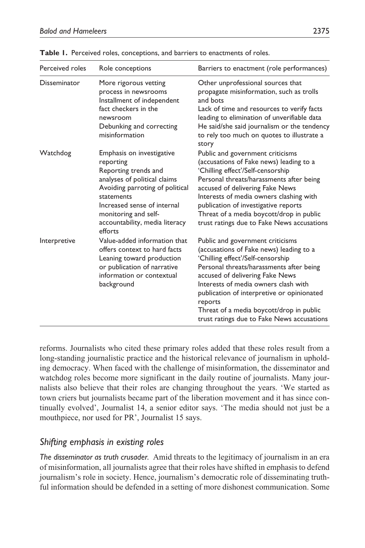| Perceived roles | Role conceptions                                                                                                                                                                                                                                    | Barriers to enactment (role performances)                                                                                                                                                                                                                                                                                                                                                  |
|-----------------|-----------------------------------------------------------------------------------------------------------------------------------------------------------------------------------------------------------------------------------------------------|--------------------------------------------------------------------------------------------------------------------------------------------------------------------------------------------------------------------------------------------------------------------------------------------------------------------------------------------------------------------------------------------|
| Disseminator    | More rigorous vetting<br>process in newsrooms<br>Installment of independent<br>fact checkers in the<br>newsroom<br>Debunking and correcting<br>misinformation                                                                                       | Other unprofessional sources that<br>propagate misinformation, such as trolls<br>and bots<br>Lack of time and resources to verify facts<br>leading to elimination of unverifiable data<br>He said/she said journalism or the tendency<br>to rely too much on quotes to illustrate a                                                                                                        |
| Watchdog        | Emphasis on investigative<br>reporting<br>Reporting trends and<br>analyses of political claims<br>Avoiding parroting of political<br>statements<br>Increased sense of internal<br>monitoring and self-<br>accountability, media literacy<br>efforts | story<br>Public and government criticisms<br>(accusations of Fake news) leading to a<br>'Chilling effect'/Self-censorship<br>Personal threats/harassments after being<br>accused of delivering Fake News<br>Interests of media owners clashing with<br>publication of investigative reports<br>Threat of a media boycott/drop in public<br>trust ratings due to Fake News accusations      |
| Interpretive    | Value-added information that<br>offers context to hard facts<br>Leaning toward production<br>or publication of narrative<br>information or contextual<br>background                                                                                 | Public and government criticisms<br>(accusations of Fake news) leading to a<br>'Chilling effect'/Self-censorship<br>Personal threats/harassments after being<br>accused of delivering Fake News<br>Interests of media owners clash with<br>publication of interpretive or opinionated<br>reports<br>Threat of a media boycott/drop in public<br>trust ratings due to Fake News accusations |

**Table 1.** Perceived roles, conceptions, and barriers to enactments of roles.

reforms. Journalists who cited these primary roles added that these roles result from a long-standing journalistic practice and the historical relevance of journalism in upholding democracy. When faced with the challenge of misinformation, the disseminator and watchdog roles become more significant in the daily routine of journalists. Many journalists also believe that their roles are changing throughout the years. 'We started as town criers but journalists became part of the liberation movement and it has since continually evolved', Journalist 14, a senior editor says. 'The media should not just be a mouthpiece, nor used for PR', Journalist 15 says.

### *Shifting emphasis in existing roles*

*The disseminator as truth crusader.* Amid threats to the legitimacy of journalism in an era of misinformation, all journalists agree that their roles have shifted in emphasis to defend journalism's role in society. Hence, journalism's democratic role of disseminating truthful information should be defended in a setting of more dishonest communication. Some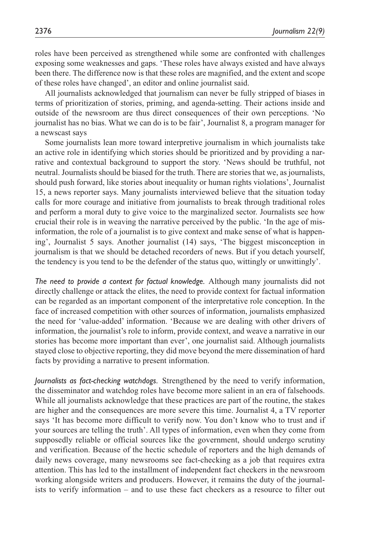roles have been perceived as strengthened while some are confronted with challenges exposing some weaknesses and gaps. 'These roles have always existed and have always been there. The difference now is that these roles are magnified, and the extent and scope of these roles have changed', an editor and online journalist said.

All journalists acknowledged that journalism can never be fully stripped of biases in terms of prioritization of stories, priming, and agenda-setting. Their actions inside and outside of the newsroom are thus direct consequences of their own perceptions. 'No journalist has no bias. What we can do is to be fair', Journalist 8, a program manager for a newscast says

Some journalists lean more toward interpretive journalism in which journalists take an active role in identifying which stories should be prioritized and by providing a narrative and contextual background to support the story. 'News should be truthful, not neutral. Journalists should be biased for the truth. There are stories that we, as journalists, should push forward, like stories about inequality or human rights violations', Journalist 15, a news reporter says. Many journalists interviewed believe that the situation today calls for more courage and initiative from journalists to break through traditional roles and perform a moral duty to give voice to the marginalized sector. Journalists see how crucial their role is in weaving the narrative perceived by the public. 'In the age of misinformation, the role of a journalist is to give context and make sense of what is happening', Journalist 5 says. Another journalist (14) says, 'The biggest misconception in journalism is that we should be detached recorders of news. But if you detach yourself, the tendency is you tend to be the defender of the status quo, wittingly or unwittingly'.

*The need to provide a context for factual knowledge.* Although many journalists did not directly challenge or attack the elites, the need to provide context for factual information can be regarded as an important component of the interpretative role conception. In the face of increased competition with other sources of information, journalists emphasized the need for 'value-added' information. 'Because we are dealing with other drivers of information, the journalist's role to inform, provide context, and weave a narrative in our stories has become more important than ever', one journalist said. Although journalists stayed close to objective reporting, they did move beyond the mere dissemination of hard facts by providing a narrative to present information.

*Journalists as fact-checking watchdogs.* Strengthened by the need to verify information, the disseminator and watchdog roles have become more salient in an era of falsehoods. While all journalists acknowledge that these practices are part of the routine, the stakes are higher and the consequences are more severe this time. Journalist 4, a TV reporter says 'It has become more difficult to verify now. You don't know who to trust and if your sources are telling the truth'. All types of information, even when they come from supposedly reliable or official sources like the government, should undergo scrutiny and verification. Because of the hectic schedule of reporters and the high demands of daily news coverage, many newsrooms see fact-checking as a job that requires extra attention. This has led to the installment of independent fact checkers in the newsroom working alongside writers and producers. However, it remains the duty of the journalists to verify information – and to use these fact checkers as a resource to filter out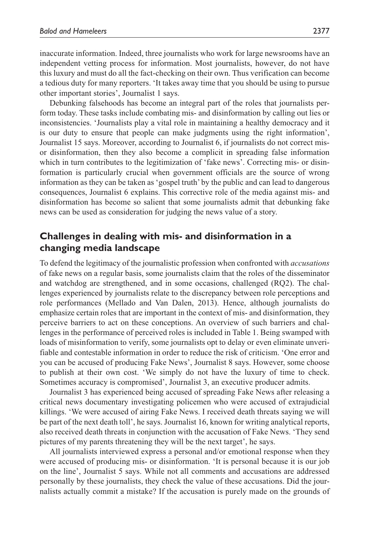inaccurate information. Indeed, three journalists who work for large newsrooms have an independent vetting process for information. Most journalists, however, do not have this luxury and must do all the fact-checking on their own. Thus verification can become a tedious duty for many reporters. 'It takes away time that you should be using to pursue other important stories', Journalist 1 says.

Debunking falsehoods has become an integral part of the roles that journalists perform today. These tasks include combating mis- and disinformation by calling out lies or inconsistencies. 'Journalists play a vital role in maintaining a healthy democracy and it is our duty to ensure that people can make judgments using the right information', Journalist 15 says. Moreover, according to Journalist 6, if journalists do not correct misor disinformation, then they also become a complicit in spreading false information which in turn contributes to the legitimization of 'fake news'. Correcting mis- or disinformation is particularly crucial when government officials are the source of wrong information as they can be taken as 'gospel truth' by the public and can lead to dangerous consequences, Journalist 6 explains. This corrective role of the media against mis- and disinformation has become so salient that some journalists admit that debunking fake news can be used as consideration for judging the news value of a story.

## **Challenges in dealing with mis- and disinformation in a changing media landscape**

To defend the legitimacy of the journalistic profession when confronted with *accusations* of fake news on a regular basis, some journalists claim that the roles of the disseminator and watchdog are strengthened, and in some occasions, challenged (RQ2). The challenges experienced by journalists relate to the discrepancy between role perceptions and role performances (Mellado and Van Dalen, 2013). Hence, although journalists do emphasize certain roles that are important in the context of mis- and disinformation, they perceive barriers to act on these conceptions. An overview of such barriers and challenges in the performance of perceived roles is included in Table 1. Being swamped with loads of misinformation to verify, some journalists opt to delay or even eliminate unverifiable and contestable information in order to reduce the risk of criticism. 'One error and you can be accused of producing Fake News', Journalist 8 says. However, some choose to publish at their own cost. 'We simply do not have the luxury of time to check. Sometimes accuracy is compromised', Journalist 3, an executive producer admits.

Journalist 3 has experienced being accused of spreading Fake News after releasing a critical news documentary investigating policemen who were accused of extrajudicial killings. 'We were accused of airing Fake News. I received death threats saying we will be part of the next death toll', he says. Journalist 16, known for writing analytical reports, also received death threats in conjunction with the accusation of Fake News. 'They send pictures of my parents threatening they will be the next target', he says.

All journalists interviewed express a personal and/or emotional response when they were accused of producing mis- or disinformation. 'It is personal because it is our job on the line', Journalist 5 says. While not all comments and accusations are addressed personally by these journalists, they check the value of these accusations. Did the journalists actually commit a mistake? If the accusation is purely made on the grounds of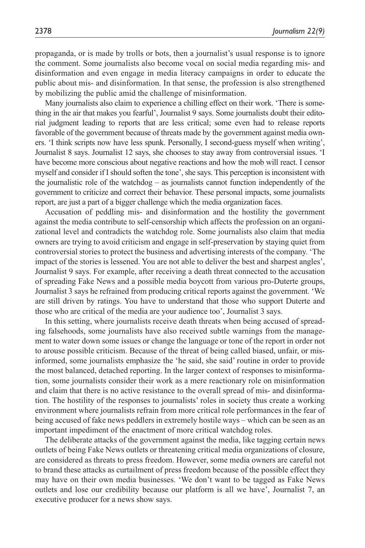propaganda, or is made by trolls or bots, then a journalist's usual response is to ignore the comment. Some journalists also become vocal on social media regarding mis- and disinformation and even engage in media literacy campaigns in order to educate the public about mis- and disinformation. In that sense, the profession is also strengthened by mobilizing the public amid the challenge of misinformation.

Many journalists also claim to experience a chilling effect on their work. 'There is something in the air that makes you fearful', Journalist 9 says. Some journalists doubt their editorial judgment leading to reports that are less critical; some even had to release reports favorable of the government because of threats made by the government against media owners. 'I think scripts now have less spunk. Personally, I second-guess myself when writing', Journalist 8 says. Journalist 12 says, she chooses to stay away from controversial issues. 'I have become more conscious about negative reactions and how the mob will react. I censor myself and consider if I should soften the tone', she says. This perception is inconsistent with the journalistic role of the watchdog – as journalists cannot function independently of the government to criticize and correct their behavior. These personal impacts, some journalists report, are just a part of a bigger challenge which the media organization faces.

Accusation of peddling mis- and disinformation and the hostility the government against the media contribute to self-censorship which affects the profession on an organizational level and contradicts the watchdog role. Some journalists also claim that media owners are trying to avoid criticism and engage in self-preservation by staying quiet from controversial stories to protect the business and advertising interests of the company. 'The impact of the stories is lessened. You are not able to deliver the best and sharpest angles', Journalist 9 says. For example, after receiving a death threat connected to the accusation of spreading Fake News and a possible media boycott from various pro-Duterte groups, Journalist 3 says he refrained from producing critical reports against the government. 'We are still driven by ratings. You have to understand that those who support Duterte and those who are critical of the media are your audience too', Journalist 3 says.

In this setting, where journalists receive death threats when being accused of spreading falsehoods, some journalists have also received subtle warnings from the management to water down some issues or change the language or tone of the report in order not to arouse possible criticism. Because of the threat of being called biased, unfair, or misinformed, some journalists emphasize the 'he said, she said' routine in order to provide the most balanced, detached reporting. In the larger context of responses to misinformation, some journalists consider their work as a mere reactionary role on misinformation and claim that there is no active resistance to the overall spread of mis- and disinformation. The hostility of the responses to journalists' roles in society thus create a working environment where journalists refrain from more critical role performances in the fear of being accused of fake news peddlers in extremely hostile ways – which can be seen as an important impediment of the enactment of more critical watchdog roles.

The deliberate attacks of the government against the media, like tagging certain news outlets of being Fake News outlets or threatening critical media organizations of closure, are considered as threats to press freedom. However, some media owners are careful not to brand these attacks as curtailment of press freedom because of the possible effect they may have on their own media businesses. 'We don't want to be tagged as Fake News outlets and lose our credibility because our platform is all we have', Journalist 7, an executive producer for a news show says.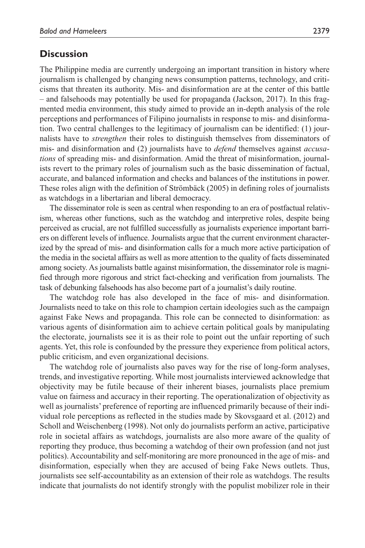#### **Discussion**

The Philippine media are currently undergoing an important transition in history where journalism is challenged by changing news consumption patterns, technology, and criticisms that threaten its authority. Mis- and disinformation are at the center of this battle – and falsehoods may potentially be used for propaganda (Jackson, 2017). In this fragmented media environment, this study aimed to provide an in-depth analysis of the role perceptions and performances of Filipino journalists in response to mis- and disinformation. Two central challenges to the legitimacy of journalism can be identified: (1) journalists have to *strengthen* their roles to distinguish themselves from disseminators of mis- and disinformation and (2) journalists have to *defend* themselves against *accusations* of spreading mis- and disinformation. Amid the threat of misinformation, journalists revert to the primary roles of journalism such as the basic dissemination of factual, accurate, and balanced information and checks and balances of the institutions in power. These roles align with the definition of Strömbäck (2005) in defining roles of journalists as watchdogs in a libertarian and liberal democracy.

The disseminator role is seen as central when responding to an era of postfactual relativism, whereas other functions, such as the watchdog and interpretive roles, despite being perceived as crucial, are not fulfilled successfully as journalists experience important barriers on different levels of influence. Journalists argue that the current environment characterized by the spread of mis- and disinformation calls for a much more active participation of the media in the societal affairs as well as more attention to the quality of facts disseminated among society. As journalists battle against misinformation, the disseminator role is magnified through more rigorous and strict fact-checking and verification from journalists. The task of debunking falsehoods has also become part of a journalist's daily routine.

The watchdog role has also developed in the face of mis- and disinformation. Journalists need to take on this role to champion certain ideologies such as the campaign against Fake News and propaganda. This role can be connected to disinformation: as various agents of disinformation aim to achieve certain political goals by manipulating the electorate, journalists see it is as their role to point out the unfair reporting of such agents. Yet, this role is confounded by the pressure they experience from political actors, public criticism, and even organizational decisions.

The watchdog role of journalists also paves way for the rise of long-form analyses, trends, and investigative reporting. While most journalists interviewed acknowledge that objectivity may be futile because of their inherent biases, journalists place premium value on fairness and accuracy in their reporting. The operationalization of objectivity as well as journalists' preference of reporting are influenced primarily because of their individual role perceptions as reflected in the studies made by Skovsgaard et al. (2012) and Scholl and Weischenberg (1998). Not only do journalists perform an active, participative role in societal affairs as watchdogs, journalists are also more aware of the quality of reporting they produce, thus becoming a watchdog of their own profession (and not just politics). Accountability and self-monitoring are more pronounced in the age of mis- and disinformation, especially when they are accused of being Fake News outlets. Thus, journalists see self-accountability as an extension of their role as watchdogs. The results indicate that journalists do not identify strongly with the populist mobilizer role in their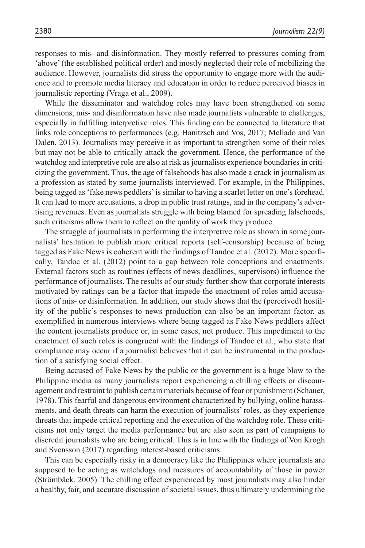responses to mis- and disinformation. They mostly referred to pressures coming from 'above' (the established political order) and mostly neglected their role of mobilizing the audience. However, journalists did stress the opportunity to engage more with the audience and to promote media literacy and education in order to reduce perceived biases in journalistic reporting (Vraga et al., 2009).

While the disseminator and watchdog roles may have been strengthened on some dimensions, mis- and disinformation have also made journalists vulnerable to challenges, especially in fulfilling interpretive roles. This finding can be connected to literature that links role conceptions to performances (e.g. Hanitzsch and Vos, 2017; Mellado and Van Dalen, 2013). Journalists may perceive it as important to strengthen some of their roles but may not be able to critically attack the government. Hence, the performance of the watchdog and interpretive role are also at risk as journalists experience boundaries in criticizing the government. Thus, the age of falsehoods has also made a crack in journalism as a profession as stated by some journalists interviewed. For example, in the Philippines, being tagged as 'fake news peddlers' is similar to having a scarlet letter on one's forehead. It can lead to more accusations, a drop in public trust ratings, and in the company's advertising revenues. Even as journalists struggle with being blamed for spreading falsehoods, such criticisms allow them to reflect on the quality of work they produce.

The struggle of journalists in performing the interpretive role as shown in some journalists' hesitation to publish more critical reports (self-censorship) because of being tagged as Fake News is coherent with the findings of Tandoc et al. (2012). More specifically, Tandoc et al. (2012) point to a gap between role conceptions and enactments. External factors such as routines (effects of news deadlines, supervisors) influence the performance of journalists. The results of our study further show that corporate interests motivated by ratings can be a factor that impede the enactment of roles amid accusations of mis- or disinformation. In addition, our study shows that the (perceived) hostility of the public's responses to news production can also be an important factor, as exemplified in numerous interviews where being tagged as Fake News peddlers affect the content journalists produce or, in some cases, not produce. This impediment to the enactment of such roles is congruent with the findings of Tandoc et al., who state that compliance may occur if a journalist believes that it can be instrumental in the production of a satisfying social effect.

Being accused of Fake News by the public or the government is a huge blow to the Philippine media as many journalists report experiencing a chilling effects or discouragement and restraint to publish certain materials because of fear or punishment (Schauer, 1978). This fearful and dangerous environment characterized by bullying, online harassments, and death threats can harm the execution of journalists' roles, as they experience threats that impede critical reporting and the execution of the watchdog role. These criticisms not only target the media performance but are also seen as part of campaigns to discredit journalists who are being critical. This is in line with the findings of Von Krogh and Svensson (2017) regarding interest-based criticisms.

This can be especially risky in a democracy like the Philippines where journalists are supposed to be acting as watchdogs and measures of accountability of those in power (Strömbäck, 2005). The chilling effect experienced by most journalists may also hinder a healthy, fair, and accurate discussion of societal issues, thus ultimately undermining the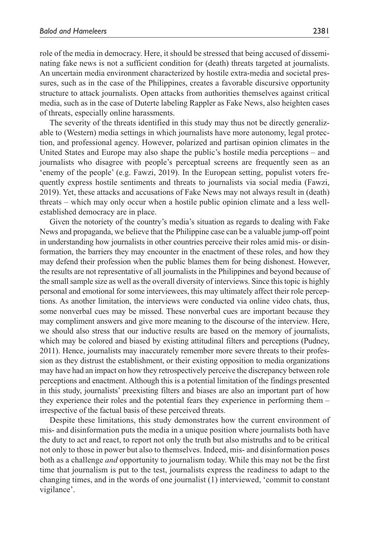role of the media in democracy. Here, it should be stressed that being accused of disseminating fake news is not a sufficient condition for (death) threats targeted at journalists. An uncertain media environment characterized by hostile extra-media and societal pressures, such as in the case of the Philippines, creates a favorable discursive opportunity structure to attack journalists. Open attacks from authorities themselves against critical media, such as in the case of Duterte labeling Rappler as Fake News, also heighten cases of threats, especially online harassments.

The severity of the threats identified in this study may thus not be directly generalizable to (Western) media settings in which journalists have more autonomy, legal protection, and professional agency. However, polarized and partisan opinion climates in the United States and Europe may also shape the public's hostile media perceptions – and journalists who disagree with people's perceptual screens are frequently seen as an 'enemy of the people' (e.g. Fawzi, 2019). In the European setting, populist voters frequently express hostile sentiments and threats to journalists via social media (Fawzi, 2019). Yet, these attacks and accusations of Fake News may not always result in (death) threats – which may only occur when a hostile public opinion climate and a less wellestablished democracy are in place.

Given the notoriety of the country's media's situation as regards to dealing with Fake News and propaganda, we believe that the Philippine case can be a valuable jump-off point in understanding how journalists in other countries perceive their roles amid mis- or disinformation, the barriers they may encounter in the enactment of these roles, and how they may defend their profession when the public blames them for being dishonest. However, the results are not representative of all journalists in the Philippines and beyond because of the small sample size as well as the overall diversity of interviews. Since this topic is highly personal and emotional for some interviewees, this may ultimately affect their role perceptions. As another limitation, the interviews were conducted via online video chats, thus, some nonverbal cues may be missed. These nonverbal cues are important because they may compliment answers and give more meaning to the discourse of the interview. Here, we should also stress that our inductive results are based on the memory of journalists, which may be colored and biased by existing attitudinal filters and perceptions (Pudney, 2011). Hence, journalists may inaccurately remember more severe threats to their profession as they distrust the establishment, or their existing opposition to media organizations may have had an impact on how they retrospectively perceive the discrepancy between role perceptions and enactment. Although this is a potential limitation of the findings presented in this study, journalists' preexisting filters and biases are also an important part of how they experience their roles and the potential fears they experience in performing them – irrespective of the factual basis of these perceived threats.

Despite these limitations, this study demonstrates how the current environment of mis- and disinformation puts the media in a unique position where journalists both have the duty to act and react, to report not only the truth but also mistruths and to be critical not only to those in power but also to themselves. Indeed, mis- and disinformation poses both as a challenge *and* opportunity to journalism today. While this may not be the first time that journalism is put to the test, journalists express the readiness to adapt to the changing times, and in the words of one journalist (1) interviewed, 'commit to constant vigilance'.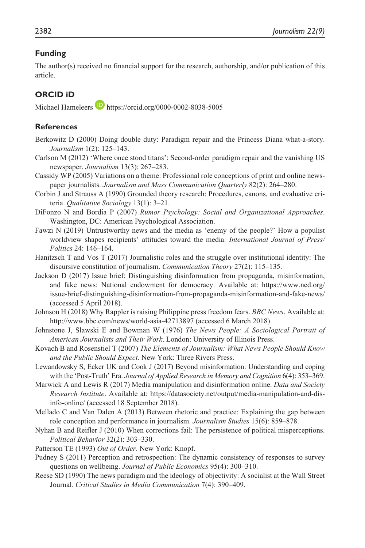#### **Funding**

The author(s) received no financial support for the research, authorship, and/or publication of this article.

## **ORCID iD**

Michael Hameleers **<https://orcid.org/0000-0002-8038-5005>** 

#### **References**

- Berkowitz D (2000) Doing double duty: Paradigm repair and the Princess Diana what-a-story. *Journalism* 1(2): 125–143.
- Carlson M (2012) 'Where once stood titans': Second-order paradigm repair and the vanishing US newspaper. *Journalism* 13(3): 267–283.
- Cassidy WP (2005) Variations on a theme: Professional role conceptions of print and online newspaper journalists. *Journalism and Mass Communication Quarterly* 82(2): 264–280.
- Corbin J and Strauss A (1990) Grounded theory research: Procedures, canons, and evaluative criteria. *Qualitative Sociology* 13(1): 3–21.
- DiFonzo N and Bordia P (2007) *Rumor Psychology: Social and Organizational Approaches*. Washington, DC: American Psychological Association.
- Fawzi N (2019) Untrustworthy news and the media as 'enemy of the people?' How a populist worldview shapes recipients' attitudes toward the media. *International Journal of Press/ Politics* 24: 146–164.
- Hanitzsch T and Vos T (2017) Journalistic roles and the struggle over institutional identity: The discursive constitution of journalism. *Communication Theory* 27(2): 115–135.
- Jackson D (2017) Issue brief: Distinguishing disinformation from propaganda, misinformation, and fake news: National endowment for democracy. Available at: [https://www.ned.org/](https://www.ned.org/issue-brief-distinguishing-disinformation-from-propaganda-misinformation-and-fake-news/) [issue-brief-distinguishing-disinformation-from-propaganda-misinformation-and-fake-news/](https://www.ned.org/issue-brief-distinguishing-disinformation-from-propaganda-misinformation-and-fake-news/) (accessed 5 April 2018).
- Johnson H (2018) Why Rappler is raising Philippine press freedom fears. *BBC News*. Available at: <http://www.bbc.com/news/world-asia-42713897> (accessed 6 March 2018).
- Johnstone J, Slawski E and Bowman W (1976) *The News People: A Sociological Portrait of American Journalists and Their Work*. London: University of Illinois Press.
- Kovach B and Rosenstiel T (2007) *The Elements of Journalism: What News People Should Know and the Public Should Expect*. New York: Three Rivers Press.
- Lewandowsky S, Ecker UK and Cook J (2017) Beyond misinformation: Understanding and coping with the 'Post-Truth' Era. *Journal of Applied Research in Memory and Cognition* 6(4): 353–369.
- Marwick A and Lewis R (2017) Media manipulation and disinformation online. *Data and Society Research Institute*. Available at: [https://datasociety.net/output/media-manipulation-and-dis](https://datasociety.net/output/media-manipulation-and-disinfo-online/)[info-online/](https://datasociety.net/output/media-manipulation-and-disinfo-online/) (accessed 18 September 2018).
- Mellado C and Van Dalen A (2013) Between rhetoric and practice: Explaining the gap between role conception and performance in journalism. *Journalism Studies* 15(6): 859–878.
- Nyhan B and Reifler J (2010) When corrections fail: The persistence of political misperceptions. *Political Behavior* 32(2): 303–330.
- Patterson TE (1993) *Out of Order*. New York: Knopf.
- Pudney S (2011) Perception and retrospection: The dynamic consistency of responses to survey questions on wellbeing. *Journal of Public Economics* 95(4): 300–310.
- Reese SD (1990) The news paradigm and the ideology of objectivity: A socialist at the Wall Street Journal. *Critical Studies in Media Communication* 7(4): 390–409.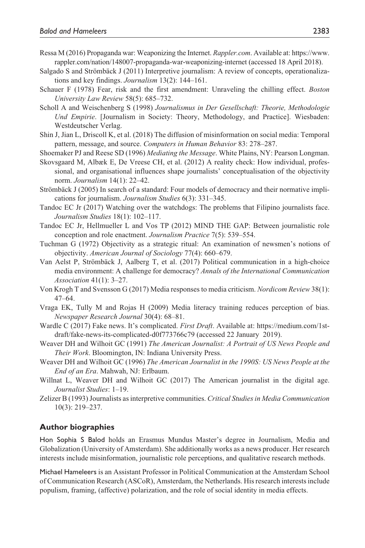- Ressa M (2016) Propaganda war: Weaponizing the Internet. *Rappler.com*. Available at: [https://www.](https://www.rappler.com/nation/148007-propaganda-war-weaponizing-internet) [rappler.com/nation/148007-propaganda-war-weaponizing-internet](https://www.rappler.com/nation/148007-propaganda-war-weaponizing-internet) (accessed 18 April 2018).
- Salgado S and Strömbäck J (2011) Interpretive journalism: A review of concepts, operationalizations and key findings. *Journalism* 13(2): 144–161.
- Schauer F (1978) Fear, risk and the first amendment: Unraveling the chilling effect. *Boston University Law Review* 58(5): 685–732.
- Scholl A and Weischenberg S (1998) *Journalismus in Der Gesellschaft: Theorie, Methodologie Und Empirie*. [Journalism in Society: Theory, Methodology, and Practice]. Wiesbaden: Westdeutscher Verlag.
- Shin J, Jian L, Driscoll K, et al. (2018) The diffusion of misinformation on social media: Temporal pattern, message, and source. *Computers in Human Behavior* 83: 278–287.
- Shoemaker PJ and Reese SD (1996) *Mediating the Message*. White Plains, NY: Pearson Longman.
- Skovsgaard M, Albæk E, De Vreese CH, et al. (2012) A reality check: How individual, professional, and organisational influences shape journalists' conceptualisation of the objectivity norm. *Journalism* 14(1): 22–42.
- Strömbäck J (2005) In search of a standard: Four models of democracy and their normative implications for journalism. *Journalism Studies* 6(3): 331–345.
- Tandoc EC Jr (2017) Watching over the watchdogs: The problems that Filipino journalists face. *Journalism Studies* 18(1): 102–117.
- Tandoc EC Jr, Hellmueller L and Vos TP (2012) MIND THE GAP: Between journalistic role conception and role enactment. *Journalism Practice* 7(5): 539–554.
- Tuchman G (1972) Objectivity as a strategic ritual: An examination of newsmen's notions of objectivity. *American Journal of Sociology* 77(4): 660–679.
- Van Aelst P, Strömbäck J, Aalberg T, et al. (2017) Political communication in a high-choice media environment: A challenge for democracy? *Annals of the International Communication Association* 41(1): 3–27.
- Von Krogh T and Svensson G (2017) Media responses to media criticism. *Nordicom Review* 38(1): 47–64.
- Vraga EK, Tully M and Rojas H (2009) Media literacy training reduces perception of bias. *Newspaper Research Journal* 30(4): 68–81.
- Wardle C (2017) Fake news. It's complicated. *First Draft*. Available at: [https://medium.com/1st](https://medium.com/1st-draft/fake-news-its-complicated-d0f773766c79)[draft/fake-news-its-complicated-d0f773766c79](https://medium.com/1st-draft/fake-news-its-complicated-d0f773766c79) (accessed 22 January 2019).
- Weaver DH and Wilhoit GC (1991) *The American Journalist: A Portrait of US News People and Their Work*. Bloomington, IN: Indiana University Press.
- Weaver DH and Wilhoit GC (1996) *The American Journalist in the 1990S: US News People at the End of an Era*. Mahwah, NJ: Erlbaum.
- Willnat L, Weaver DH and Wilhoit GC (2017) The American journalist in the digital age. *Journalist Studies*: 1–19.
- Zelizer B (1993) Journalists as interpretive communities. *Critical Studies in Media Communication* 10(3): 219–237.

#### **Author biographies**

Hon Sophia S Balod holds an Erasmus Mundus Master's degree in Journalism, Media and Globalization (University of Amsterdam). She additionally works as a news producer. Her research interests include misinformation, journalistic role perceptions, and qualitative research methods.

Michael Hameleers is an Assistant Professor in Political Communication at the Amsterdam School of Communication Research (ASCoR), Amsterdam, the Netherlands. His research interests include populism, framing, (affective) polarization, and the role of social identity in media effects.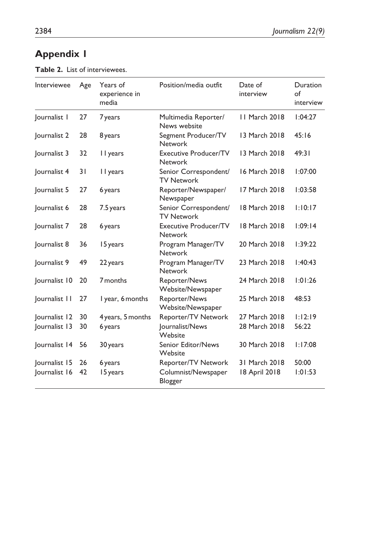## **Appendix 1**

**Table 2.** List of interviewees.

| Interviewee   | Age | Years of<br>experience in<br>media | Position/media outfit                          | Date of<br>interview | Duration<br>of<br>interview |
|---------------|-----|------------------------------------|------------------------------------------------|----------------------|-----------------------------|
| Journalist I  | 27  | 7 years                            | Multimedia Reporter/<br>News website           | 11 March 2018        | 1:04:27                     |
| Journalist 2  | 28  | 8 years                            | Segment Producer/TV<br><b>Network</b>          | 13 March 2018        | 45:16                       |
| Journalist 3  | 32  | I I years                          | <b>Executive Producer/TV</b><br><b>Network</b> | 13 March 2018        | 49:31                       |
| Journalist 4  | 31  | II years                           | Senior Correspondent/<br><b>TV Network</b>     | 16 March 2018        | 1:07:00                     |
| Journalist 5  | 27  | 6 years                            | Reporter/Newspaper/<br>Newspaper               | 17 March 2018        | 1:03:58                     |
| Journalist 6  | 28  | 7.5 years                          | Senior Correspondent/<br><b>TV Network</b>     | 18 March 2018        | 1:10:17                     |
| Journalist 7  | 28  | 6 years                            | <b>Executive Producer/TV</b><br><b>Network</b> | 18 March 2018        | 1:09:14                     |
| Journalist 8  | 36  | 15 years                           | Program Manager/TV<br><b>Network</b>           | 20 March 2018        | 1:39:22                     |
| Journalist 9  | 49  | 22 years                           | Program Manager/TV<br><b>Network</b>           | 23 March 2018        | 1:40:43                     |
| Journalist 10 | 20  | 7 months                           | Reporter/News<br>Website/Newspaper             | 24 March 2018        | 1:01:26                     |
| Journalist II | 27  | I year, 6 months                   | Reporter/News<br>Website/Newspaper             | 25 March 2018        | 48:53                       |
| Journalist 12 | 30  | 4 years, 5 months                  | Reporter/TV Network                            | 27 March 2018        | 1:12:19                     |
| Journalist 13 | 30  | 6 years                            | Journalist/News<br>Website                     | 28 March 2018        | 56:22                       |
| Journalist 14 | 56  | 30 years                           | Senior Editor/News<br>Website                  | 30 March 2018        | 1:17:08                     |
| Journalist 15 | 26  | 6 years                            | Reporter/TV Network                            | 31 March 2018        | 50:00                       |
| Journalist 16 | 42  | 15 years                           | Columnist/Newspaper<br>Blogger                 | 18 April 2018        | 1:01:53                     |